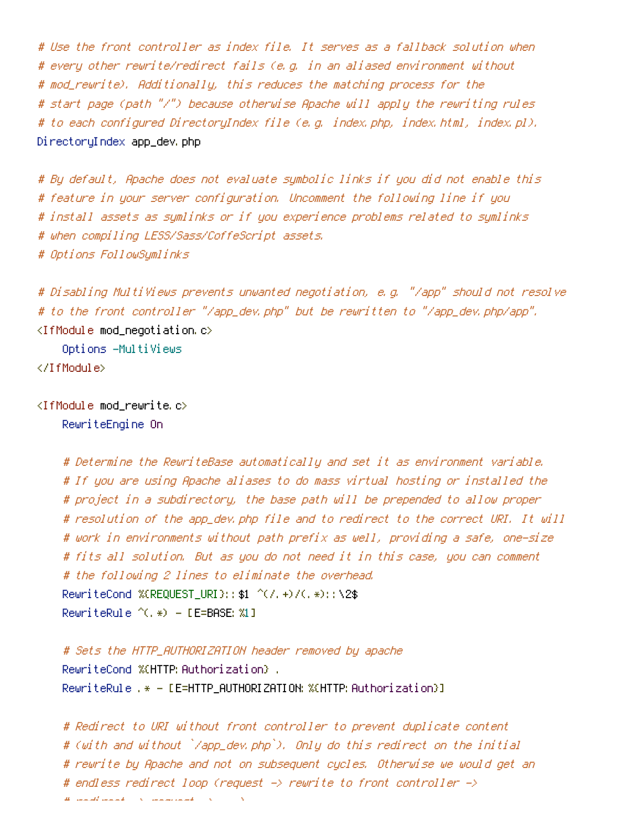# Use the front controller as index file. It serves as <sup>a</sup> fallback solution when # every other rewrite/redirect fails (e.g. in an aliased environment without # mod\_rewrite). Additionally, this reduces the matching process for the # start page (path "/") because otherwise Apache will apply the rewriting rules # to each configured DirectoryIndex file (e.g. index.php, index.html, index.pl). DirectoryIndex app\_dev.php

# By default, Apache does not evaluate symbolic links if you did not enable this # feature in your server configuration. Uncomment the following line if you # install assets as symlinks or if you experience problems related to symlinks # when compiling LESS/Sass/CoffeScript assets. # Options FollowSymlinks

# Disabling MultiViews prevents unwanted negotiation, e.g. "/app" should not resolve # to the front controller "/app\_dev.php" but be rewritten to "/app\_dev.php/app". <IfModule mod\_negotiation.c>

Options -MultiViews

</IfModule>

 $\triangleleft$  fModule mod rewrite.c> RewriteEngine On

> # Determine the RewriteBase automatically and set it as environment variable. # If you are using Apache aliases to do mass virtual hosting or installed the # project in <sup>a</sup> subdirectory, the base path will be prepended to allow proper # resolution of the app\_dev.php file and to redirect to the correct URI. It will # work in environments without path prefix as well, providing <sup>a</sup> safe, one-size # fits all solution. But as you do not need it in this case, you can comment # the following 2 lines to eliminate the overhead. RewriteCond %{REQUEST\_URI}::\$1 ^(/.+)/(.\*)::\2\$ RewriteRule  $^{\wedge}$ (,  $*)$  - [E=BASE: %1]

# Sets the HTTP\_AUTHORIZATION header removed by apache RewriteCond %{HTTP: Authorization} . RewriteRule .\* - [E=HTTP\_AUTHORIZATION:%{HTTP:Authorization}]

# Redirect to URI without front controller to prevent duplicate content # (with and without `/app\_dev.php`). Only do this redirect on the initial # rewrite by Apache and not on subsequent cycles. Otherwise we would get an # endless redirect loop (request -> rewrite to front controller ->  $\mu$  , redirect and  $\mu$  -  $\lambda$  . The continuum